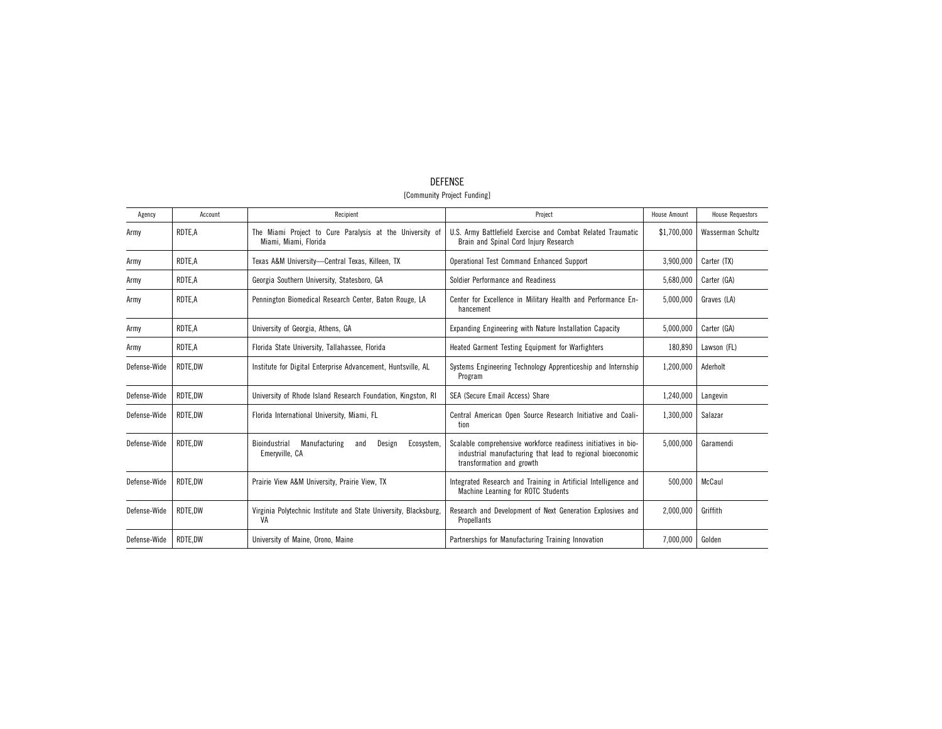| Agency       | Account | Recipient                                                                         | Project                                                                                                                                                   | <b>House Amount</b> | <b>House Requestors</b> |
|--------------|---------|-----------------------------------------------------------------------------------|-----------------------------------------------------------------------------------------------------------------------------------------------------------|---------------------|-------------------------|
| Army         | RDTE,A  | The Miami Project to Cure Paralysis at the University of<br>Miami, Miami, Florida | U.S. Army Battlefield Exercise and Combat Related Traumatic<br>Brain and Spinal Cord Injury Research                                                      | \$1,700,000         | Wasserman Schultz       |
| Army         | RDTE,A  | Texas A&M University-Central Texas, Killeen, TX                                   | Operational Test Command Enhanced Support                                                                                                                 | 3,900,000           | Carter (TX)             |
| Army         | RDTE,A  | Georgia Southern University, Statesboro, GA                                       | Soldier Performance and Readiness                                                                                                                         | 5,680,000           | Carter (GA)             |
| Army         | RDTE,A  | Pennington Biomedical Research Center, Baton Rouge, LA                            | Center for Excellence in Military Health and Performance En-<br>hancement                                                                                 | 5,000,000           | Graves (LA)             |
| Army         | RDTE,A  | University of Georgia, Athens, GA                                                 | Expanding Engineering with Nature Installation Capacity                                                                                                   | 5,000,000           | Carter (GA)             |
| Army         | RDTE,A  | Florida State University, Tallahassee, Florida                                    | Heated Garment Testing Equipment for Warfighters                                                                                                          | 180,890             | Lawson (FL)             |
| Defense-Wide | RDTE.DW | Institute for Digital Enterprise Advancement, Huntsville, AL                      | Systems Engineering Technology Apprenticeship and Internship<br>Program                                                                                   | 1,200,000           | Aderholt                |
| Defense-Wide | RDTE.DW | University of Rhode Island Research Foundation, Kingston, RI                      | SEA (Secure Email Access) Share                                                                                                                           | 1,240,000           | Langevin                |
| Defense-Wide | RDTE,DW | Florida International University, Miami, FL                                       | Central American Open Source Research Initiative and Coali-<br>tion                                                                                       | 1,300,000           | Salazar                 |
| Defense-Wide | RDTE.DW | Manufacturing<br>Bioindustrial<br>Ecosystem,<br>and<br>Design<br>Emerwille, CA    | Scalable comprehensive workforce readiness initiatives in bio-<br>industrial manufacturing that lead to regional bioeconomic<br>transformation and growth | 5,000,000           | Garamendi               |
| Defense-Wide | RDTE.DW | Prairie View A&M University, Prairie View, TX                                     | Integrated Research and Training in Artificial Intelligence and<br>Machine Learning for ROTC Students                                                     | 500.000             | McCaul                  |
| Defense-Wide | RDTE.DW | Virginia Polytechnic Institute and State University, Blacksburg,<br>VA            | Research and Development of Next Generation Explosives and<br>Propellants                                                                                 | 2,000,000           | Griffith                |
| Defense-Wide | RDTE.DW | University of Maine, Orono, Maine                                                 | Partnerships for Manufacturing Training Innovation                                                                                                        | 7,000,000           | Golden                  |

## DEFENSE [Community Project Funding]